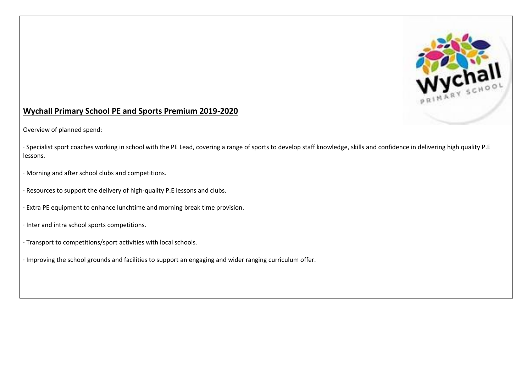

## **Wychall Primary School PE and Sports Premium 2019-2020**

Overview of planned spend:

· Specialist sport coaches working in school with the PE Lead, covering a range of sports to develop staff knowledge, skills and confidence in delivering high quality P.E lessons.

· Morning and after school clubs and competitions.

- · Resources to support the delivery of high-quality P.E lessons and clubs.
- · Extra PE equipment to enhance lunchtime and morning break time provision.
- · Inter and intra school sports competitions.
- · Transport to competitions/sport activities with local schools.
- · Improving the school grounds and facilities to support an engaging and wider ranging curriculum offer.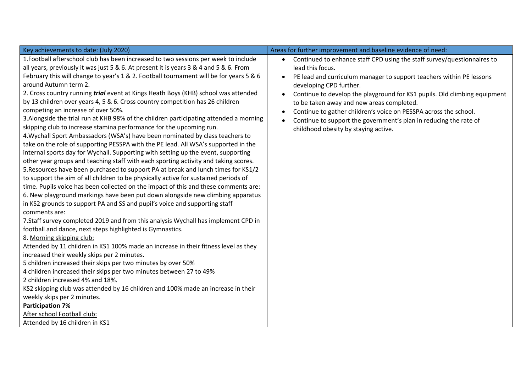| Key achievements to date: (July 2020)                                                                                                                                                                                                                                                                                                                                                                                                                                                                                                                                                                                                                                                                                                                                                                                                                                                                                                                                                                                                                                                                                                                                                                                                                                                                                                                                                                                                                                                                                                                                                                                                                                                                                                                                                                                                                                                                                                                                                                                                                                                                                                                                                               | Areas for further improvement and baseline evidence of need:                                                                                                                                                                                                                                                                                                                                                                                                                                              |
|-----------------------------------------------------------------------------------------------------------------------------------------------------------------------------------------------------------------------------------------------------------------------------------------------------------------------------------------------------------------------------------------------------------------------------------------------------------------------------------------------------------------------------------------------------------------------------------------------------------------------------------------------------------------------------------------------------------------------------------------------------------------------------------------------------------------------------------------------------------------------------------------------------------------------------------------------------------------------------------------------------------------------------------------------------------------------------------------------------------------------------------------------------------------------------------------------------------------------------------------------------------------------------------------------------------------------------------------------------------------------------------------------------------------------------------------------------------------------------------------------------------------------------------------------------------------------------------------------------------------------------------------------------------------------------------------------------------------------------------------------------------------------------------------------------------------------------------------------------------------------------------------------------------------------------------------------------------------------------------------------------------------------------------------------------------------------------------------------------------------------------------------------------------------------------------------------------|-----------------------------------------------------------------------------------------------------------------------------------------------------------------------------------------------------------------------------------------------------------------------------------------------------------------------------------------------------------------------------------------------------------------------------------------------------------------------------------------------------------|
| 1. Football afterschool club has been increased to two sessions per week to include<br>all years, previously it was just 5 & 6. At present it is years 3 & 4 and 5 & 6. From<br>February this will change to year's 1 & 2. Football tournament will be for years 5 & 6<br>around Autumn term 2.<br>2. Cross country running trial event at Kings Heath Boys (KHB) school was attended<br>by 13 children over years 4, 5 & 6. Cross country competition has 26 children<br>competing an increase of over 50%.<br>3. Alongside the trial run at KHB 98% of the children participating attended a morning<br>skipping club to increase stamina performance for the upcoming run.<br>4. Wychall Sport Ambassadors (WSA's) have been nominated by class teachers to<br>take on the role of supporting PESSPA with the PE lead. All WSA's supported in the<br>internal sports day for Wychall. Supporting with setting up the event, supporting<br>other year groups and teaching staff with each sporting activity and taking scores.<br>5. Resources have been purchased to support PA at break and lunch times for KS1/2<br>to support the aim of all children to be physically active for sustained periods of<br>time. Pupils voice has been collected on the impact of this and these comments are:<br>6. New playground markings have been put down alongside new climbing apparatus<br>in KS2 grounds to support PA and SS and pupil's voice and supporting staff<br>comments are:<br>7. Staff survey completed 2019 and from this analysis Wychall has implement CPD in<br>football and dance, next steps highlighted is Gymnastics.<br>8. Morning skipping club:<br>Attended by 11 children in KS1 100% made an increase in their fitness level as they<br>increased their weekly skips per 2 minutes.<br>5 children increased their skips per two minutes by over 50%<br>4 children increased their skips per two minutes between 27 to 49%<br>2 children increased 4% and 18%.<br>KS2 skipping club was attended by 16 children and 100% made an increase in their<br>weekly skips per 2 minutes.<br><b>Participation 7%</b><br>After school Football club:<br>Attended by 16 children in KS1 | Continued to enhance staff CPD using the staff survey/questionnaires to<br>lead this focus.<br>PE lead and curriculum manager to support teachers within PE lessons<br>developing CPD further.<br>Continue to develop the playground for KS1 pupils. Old climbing equipment<br>to be taken away and new areas completed.<br>Continue to gather children's voice on PESSPA across the school.<br>Continue to support the government's plan in reducing the rate of<br>childhood obesity by staying active. |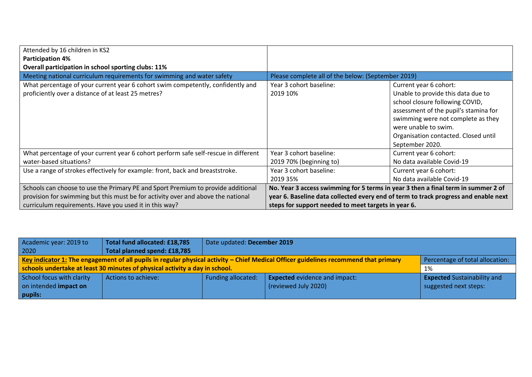| Attended by 16 children in KS2<br><b>Participation 4%</b>                                                                                                                                                                      |                                                                                                                                          |                                                                                                                                                                                                                                                                   |
|--------------------------------------------------------------------------------------------------------------------------------------------------------------------------------------------------------------------------------|------------------------------------------------------------------------------------------------------------------------------------------|-------------------------------------------------------------------------------------------------------------------------------------------------------------------------------------------------------------------------------------------------------------------|
| Overall participation in school sporting clubs: 11%                                                                                                                                                                            |                                                                                                                                          |                                                                                                                                                                                                                                                                   |
| Meeting national curriculum requirements for swimming and water safety                                                                                                                                                         | Please complete all of the below: (September 2019)                                                                                       |                                                                                                                                                                                                                                                                   |
| What percentage of your current year 6 cohort swim competently, confidently and<br>proficiently over a distance of at least 25 metres?                                                                                         | Year 3 cohort baseline:<br>2019 10%                                                                                                      | Current year 6 cohort:<br>Unable to provide this data due to<br>school closure following COVID,<br>assessment of the pupil's stamina for<br>swimming were not complete as they<br>were unable to swim.<br>Organisation contacted. Closed until<br>September 2020. |
| What percentage of your current year 6 cohort perform safe self-rescue in different<br>water-based situations?                                                                                                                 | Year 3 cohort baseline:<br>2019 70% (beginning to)                                                                                       | Current year 6 cohort:<br>No data available Covid-19                                                                                                                                                                                                              |
| Use a range of strokes effectively for example: front, back and breaststroke.                                                                                                                                                  | Year 3 cohort baseline:<br>2019 35%                                                                                                      | Current year 6 cohort:<br>No data available Covid-19                                                                                                                                                                                                              |
| Schools can choose to use the Primary PE and Sport Premium to provide additional<br>provision for swimming but this must be for activity over and above the national<br>curriculum requirements. Have you used it in this way? | No. Year 3 access swimming for 5 terms in year 3 then a final term in summer 2 of<br>steps for support needed to meet targets in year 6. | year 6. Baseline data collected every end of term to track progress and enable next                                                                                                                                                                               |

| Academic year: 2019 to                                                                                                                                                  | Total fund allocated: £18,785                                               | Date updated: December 2019                   |                                      |                                    |  |  |
|-------------------------------------------------------------------------------------------------------------------------------------------------------------------------|-----------------------------------------------------------------------------|-----------------------------------------------|--------------------------------------|------------------------------------|--|--|
| 2020                                                                                                                                                                    | Total planned spend: £18,785                                                |                                               |                                      |                                    |  |  |
| Key indicator 1: The engagement of all pupils in regular physical activity – Chief Medical Officer guidelines recommend that primary<br>Percentage of total allocation: |                                                                             |                                               |                                      |                                    |  |  |
|                                                                                                                                                                         | schools undertake at least 30 minutes of physical activity a day in school. |                                               |                                      | 1%                                 |  |  |
| School focus with clarity                                                                                                                                               | Actions to achieve:                                                         | <b>Funding allocated:</b>                     | <b>Expected</b> evidence and impact: | <b>Expected Sustainability and</b> |  |  |
| on intended impact on                                                                                                                                                   |                                                                             | (reviewed July 2020)<br>suggested next steps: |                                      |                                    |  |  |
| pupils:                                                                                                                                                                 |                                                                             |                                               |                                      |                                    |  |  |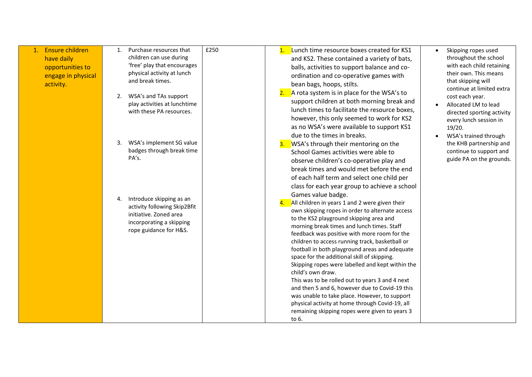| 1. Ensure children<br>have daily<br>opportunities to<br>engage in physical<br>activity. | Purchase resources that<br>1.<br>children can use during<br>'free' play that encourages<br>physical activity at lunch<br>and break times.<br>2. WSA's and TAs support<br>play activities at lunchtime<br>with these PA resources. | £250<br>Lunch time resource boxes created for KS1<br>and KS2. These contained a variety of bats,<br>balls, activities to support balance and co-<br>ordination and co-operative games with<br>bean bags, hoops, stilts.<br>2. $\overline{A}$ rota system is in place for the WSA's to<br>support children at both morning break and<br>lunch times to facilitate the resource boxes,<br>however, this only seemed to work for KS2<br>as no WSA's were available to support KS1                                                                                                                                                                                                                                                                                    | Skipping ropes used<br>throughout the school<br>with each child retaining<br>their own. This means<br>that skipping will<br>continue at limited extra<br>cost each year.<br>Allocated LM to lead<br>directed sporting activity<br>every lunch session in<br>19/20. |
|-----------------------------------------------------------------------------------------|-----------------------------------------------------------------------------------------------------------------------------------------------------------------------------------------------------------------------------------|-------------------------------------------------------------------------------------------------------------------------------------------------------------------------------------------------------------------------------------------------------------------------------------------------------------------------------------------------------------------------------------------------------------------------------------------------------------------------------------------------------------------------------------------------------------------------------------------------------------------------------------------------------------------------------------------------------------------------------------------------------------------|--------------------------------------------------------------------------------------------------------------------------------------------------------------------------------------------------------------------------------------------------------------------|
|                                                                                         | WSA's implement SG value<br>3.<br>badges through break time<br>PA's.                                                                                                                                                              | due to the times in breaks.<br>WSA's through their mentoring on the<br>3.<br>School Games activities were able to<br>observe children's co-operative play and<br>break times and would met before the end<br>of each half term and select one child per<br>class for each year group to achieve a school                                                                                                                                                                                                                                                                                                                                                                                                                                                          | WSA's trained through<br>the KHB partnership and<br>continue to support and<br>guide PA on the grounds.                                                                                                                                                            |
|                                                                                         | Introduce skipping as an<br>4.<br>activity following Skip2Bfit<br>initiative. Zoned area<br>incorporating a skipping<br>rope guidance for H&S.                                                                                    | Games value badge.<br>All children in years 1 and 2 were given their<br>own skipping ropes in order to alternate access<br>to the KS2 playground skipping area and<br>morning break times and lunch times. Staff<br>feedback was positive with more room for the<br>children to access running track, basketball or<br>football in both playground areas and adequate<br>space for the additional skill of skipping.<br>Skipping ropes were labelled and kept within the<br>child's own draw.<br>This was to be rolled out to years 3 and 4 next<br>and then 5 and 6, however due to Covid-19 this<br>was unable to take place. However, to support<br>physical activity at home through Covid-19, all<br>remaining skipping ropes were given to years 3<br>to 6. |                                                                                                                                                                                                                                                                    |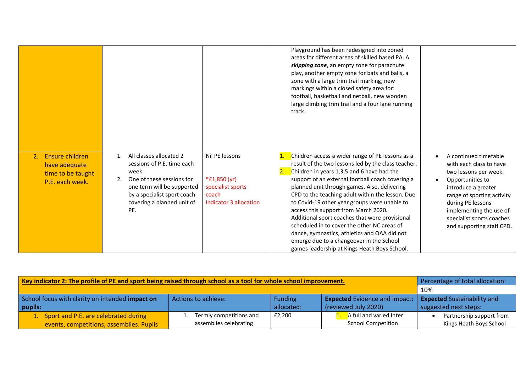|                                                                          |                                                                                                                                                                                                                 |                                                                                        | Playground has been redesigned into zoned<br>areas for different areas of skilled based PA. A<br>skipping zone, an empty zone for parachute<br>play, another empty zone for bats and balls, a<br>zone with a large trim trail marking, new<br>markings within a closed safety area for:<br>football, basketball and netball, new wooden<br>large climbing trim trail and a four lane running<br>track.                                                                                                                                                                                                                                                               |                                                                                                                                                                                                                                                              |
|--------------------------------------------------------------------------|-----------------------------------------------------------------------------------------------------------------------------------------------------------------------------------------------------------------|----------------------------------------------------------------------------------------|----------------------------------------------------------------------------------------------------------------------------------------------------------------------------------------------------------------------------------------------------------------------------------------------------------------------------------------------------------------------------------------------------------------------------------------------------------------------------------------------------------------------------------------------------------------------------------------------------------------------------------------------------------------------|--------------------------------------------------------------------------------------------------------------------------------------------------------------------------------------------------------------------------------------------------------------|
| Ensure children<br>have adequate<br>time to be taught<br>P.E. each week. | All classes allocated 2<br>$\mathbf{1}$ .<br>sessions of P.E. time each<br>week.<br>One of these sessions for<br>one term will be supported<br>by a specialist sport coach<br>covering a planned unit of<br>PE. | Nil PE lessons<br>*£1,850 (yr)<br>specialist sports<br>coach<br>Indicator 3 allocation | Children access a wider range of PE lessons as a<br>$\mathbf{1}$ .<br>result of the two lessons led by the class teacher.<br>Children in years 1,3,5 and 6 have had the<br>support of an external football coach covering a<br>planned unit through games. Also, delivering<br>CPD to the teaching adult within the lesson. Due<br>to Covid-19 other year groups were unable to<br>access this support from March 2020.<br>Additional sport coaches that were provisional<br>scheduled in to cover the other NC areas of<br>dance, gymnastics, athletics and OAA did not<br>emerge due to a changeover in the School<br>games leadership at Kings Heath Boys School. | A continued timetable<br>with each class to have<br>two lessons per week.<br>Opportunities to<br>introduce a greater<br>range of sporting activity<br>during PE lessons<br>implementing the use of<br>specialist sports coaches<br>and supporting staff CPD. |

| Key indicator 2: The profile of PE and sport being raised through school as a tool for whole school improvement. | Percentage of total allocation:                             |        |                           |                          |
|------------------------------------------------------------------------------------------------------------------|-------------------------------------------------------------|--------|---------------------------|--------------------------|
|                                                                                                                  | 10%                                                         |        |                           |                          |
| School focus with clarity on intended impact on                                                                  | <b>Expected Sustainability and</b>                          |        |                           |                          |
| pupils:                                                                                                          | allocated:<br>(reviewed July 2020)<br>suggested next steps: |        |                           |                          |
| 1. Sport and P.E. are celebrated during                                                                          | Termly competitions and                                     | £2,200 | A full and varied Inter   | Partnership support from |
| events, competitions, assemblies. Pupils                                                                         | assemblies celebrating                                      |        | <b>School Competition</b> | Kings Heath Boys School  |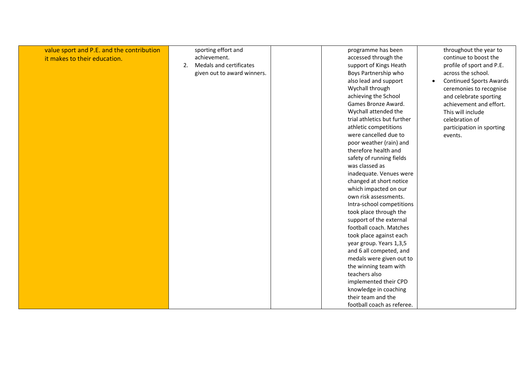| value sport and P.E. and the contribution | sporting effort and           | programme has been          | throughout the year to                      |
|-------------------------------------------|-------------------------------|-----------------------------|---------------------------------------------|
| it makes to their education.              | achievement.                  | accessed through the        | continue to boost the                       |
|                                           | Medals and certificates<br>2. | support of Kings Heath      | profile of sport and P.E.                   |
|                                           | given out to award winners.   | Boys Partnership who        | across the school.                          |
|                                           |                               | also lead and support       | <b>Continued Sports Awards</b><br>$\bullet$ |
|                                           |                               | Wychall through             | ceremonies to recognise                     |
|                                           |                               | achieving the School        | and celebrate sporting                      |
|                                           |                               | Games Bronze Award.         | achievement and effort.                     |
|                                           |                               | Wychall attended the        | This will include                           |
|                                           |                               | trial athletics but further | celebration of                              |
|                                           |                               | athletic competitions       | participation in sporting                   |
|                                           |                               | were cancelled due to       | events.                                     |
|                                           |                               | poor weather (rain) and     |                                             |
|                                           |                               | therefore health and        |                                             |
|                                           |                               | safety of running fields    |                                             |
|                                           |                               | was classed as              |                                             |
|                                           |                               | inadequate. Venues were     |                                             |
|                                           |                               | changed at short notice     |                                             |
|                                           |                               | which impacted on our       |                                             |
|                                           |                               | own risk assessments.       |                                             |
|                                           |                               | Intra-school competitions   |                                             |
|                                           |                               | took place through the      |                                             |
|                                           |                               | support of the external     |                                             |
|                                           |                               | football coach. Matches     |                                             |
|                                           |                               | took place against each     |                                             |
|                                           |                               | year group. Years 1,3,5     |                                             |
|                                           |                               | and 6 all competed, and     |                                             |
|                                           |                               | medals were given out to    |                                             |
|                                           |                               | the winning team with       |                                             |
|                                           |                               | teachers also               |                                             |
|                                           |                               | implemented their CPD       |                                             |
|                                           |                               | knowledge in coaching       |                                             |
|                                           |                               | their team and the          |                                             |
|                                           |                               | football coach as referee.  |                                             |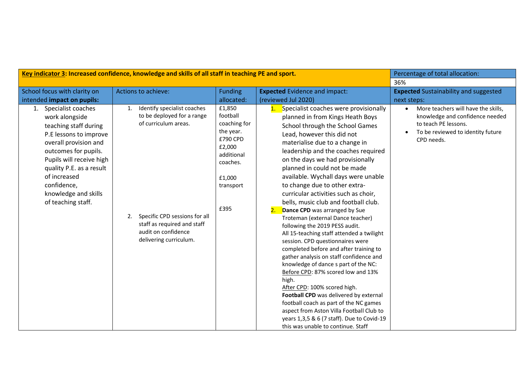| Key indicator 3: Increased confidence, knowledge and skills of all staff in teaching PE and sport.                                                                                                                                                                               |                                                                                                                                                                                                                | Percentage of total allocation:                                                                                                |                                                                                                                                                                                                                                                                                                                                                                                                                                                                                                                                                                                                                                                                                                                                                                                                                                                                                                                                                                                                                                                                             |                                                                                                                                                                |
|----------------------------------------------------------------------------------------------------------------------------------------------------------------------------------------------------------------------------------------------------------------------------------|----------------------------------------------------------------------------------------------------------------------------------------------------------------------------------------------------------------|--------------------------------------------------------------------------------------------------------------------------------|-----------------------------------------------------------------------------------------------------------------------------------------------------------------------------------------------------------------------------------------------------------------------------------------------------------------------------------------------------------------------------------------------------------------------------------------------------------------------------------------------------------------------------------------------------------------------------------------------------------------------------------------------------------------------------------------------------------------------------------------------------------------------------------------------------------------------------------------------------------------------------------------------------------------------------------------------------------------------------------------------------------------------------------------------------------------------------|----------------------------------------------------------------------------------------------------------------------------------------------------------------|
|                                                                                                                                                                                                                                                                                  |                                                                                                                                                                                                                |                                                                                                                                |                                                                                                                                                                                                                                                                                                                                                                                                                                                                                                                                                                                                                                                                                                                                                                                                                                                                                                                                                                                                                                                                             | 36%                                                                                                                                                            |
| School focus with clarity on                                                                                                                                                                                                                                                     | Actions to achieve:                                                                                                                                                                                            | <b>Funding</b>                                                                                                                 | <b>Expected Evidence and impact:</b>                                                                                                                                                                                                                                                                                                                                                                                                                                                                                                                                                                                                                                                                                                                                                                                                                                                                                                                                                                                                                                        | <b>Expected</b> Sustainability and suggested                                                                                                                   |
| intended impact on pupils:                                                                                                                                                                                                                                                       |                                                                                                                                                                                                                | allocated:                                                                                                                     | (reviewed Jul 2020)                                                                                                                                                                                                                                                                                                                                                                                                                                                                                                                                                                                                                                                                                                                                                                                                                                                                                                                                                                                                                                                         | next steps:                                                                                                                                                    |
| 1. Specialist coaches<br>work alongside<br>teaching staff during<br>P.E lessons to improve<br>overall provision and<br>outcomes for pupils.<br>Pupils will receive high<br>quality P.E. as a result<br>of increased<br>confidence,<br>knowledge and skills<br>of teaching staff. | Identify specialist coaches<br>1.<br>to be deployed for a range<br>of curriculum areas.<br>Specific CPD sessions for all<br>2.<br>staff as required and staff<br>audit on confidence<br>delivering curriculum. | £1,850<br>football<br>coaching for<br>the year.<br>£790 CPD<br>£2,000<br>additional<br>coaches.<br>£1,000<br>transport<br>£395 | 1. Specialist coaches were provisionally<br>planned in from Kings Heath Boys<br>School through the School Games<br>Lead, however this did not<br>materialise due to a change in<br>leadership and the coaches required<br>on the days we had provisionally<br>planned in could not be made<br>available. Wychall days were unable<br>to change due to other extra-<br>curricular activities such as choir,<br>bells, music club and football club.<br>Dance CPD was arranged by Sue<br>Troteman (external Dance teacher)<br>following the 2019 PESS audit.<br>All 15-teaching staff attended a twilight<br>session. CPD questionnaires were<br>completed before and after training to<br>gather analysis on staff confidence and<br>knowledge of dance s part of the NC:<br>Before CPD: 87% scored low and 13%<br>high.<br>After CPD: 100% scored high.<br>Football CPD was delivered by external<br>football coach as part of the NC games<br>aspect from Aston Villa Football Club to<br>years 1,3,5 & 6 (7 staff). Due to Covid-19<br>this was unable to continue. Staff | More teachers will have the skills,<br>$\bullet$<br>knowledge and confidence needed<br>to teach PE lessons.<br>To be reviewed to identity future<br>CPD needs. |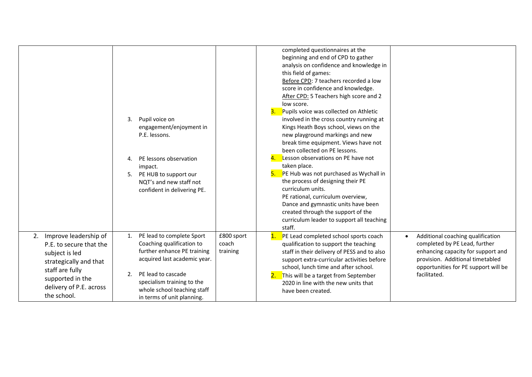|                                                                                                                                                                                  | 3.<br>Pupil voice on<br>engagement/enjoyment in<br>P.E. lessons.<br>PE lessons observation<br>4<br>impact.<br>PE HUB to support our<br>5.<br>NQT's and new staff not<br>confident in delivering PE.                                                                                   | completed questionnaires at the<br>beginning and end of CPD to gather<br>analysis on confidence and knowledge in<br>this field of games:<br>Before CPD: 7 teachers recorded a low<br>score in confidence and knowledge.<br>After CPD: 5 Teachers high score and 2<br>low score.<br>Pupils voice was collected on Athletic<br>3.<br>involved in the cross country running at<br>Kings Heath Boys school, views on the<br>new playground markings and new<br>break time equipment. Views have not<br>been collected on PE lessons.<br>Lesson observations on PE have not<br>4.<br>taken place.<br>PE Hub was not purchased as Wychall in<br>5.<br>the process of designing their PE<br>curriculum units.<br>PE rational, curriculum overview,<br>Dance and gymnastic units have been<br>created through the support of the<br>curriculum leader to support all teaching<br>staff. |  |
|----------------------------------------------------------------------------------------------------------------------------------------------------------------------------------|---------------------------------------------------------------------------------------------------------------------------------------------------------------------------------------------------------------------------------------------------------------------------------------|---------------------------------------------------------------------------------------------------------------------------------------------------------------------------------------------------------------------------------------------------------------------------------------------------------------------------------------------------------------------------------------------------------------------------------------------------------------------------------------------------------------------------------------------------------------------------------------------------------------------------------------------------------------------------------------------------------------------------------------------------------------------------------------------------------------------------------------------------------------------------------|--|
| 2. Improve leadership of<br>P.E. to secure that the<br>subject is led<br>strategically and that<br>staff are fully<br>supported in the<br>delivery of P.E. across<br>the school. | PE lead to complete Sport<br>£800 sport<br>1.<br>Coaching qualification to<br>coach<br>further enhance PE training<br>training<br>acquired last academic year.<br>PE lead to cascade<br>2.<br>specialism training to the<br>whole school teaching staff<br>in terms of unit planning. | Additional coaching qualification<br>PE Lead completed school sports coach<br>$\mathbf{1}$ .<br>$\bullet$<br>completed by PE Lead, further<br>qualification to support the teaching<br>enhancing capacity for support and<br>staff in their delivery of PESS and to also<br>provision. Additional timetabled<br>support extra-curricular activities before<br>school, lunch time and after school.<br>opportunities for PE support will be<br>facilitated.<br>This will be a target from September<br>2020 in line with the new units that<br>have been created.                                                                                                                                                                                                                                                                                                                |  |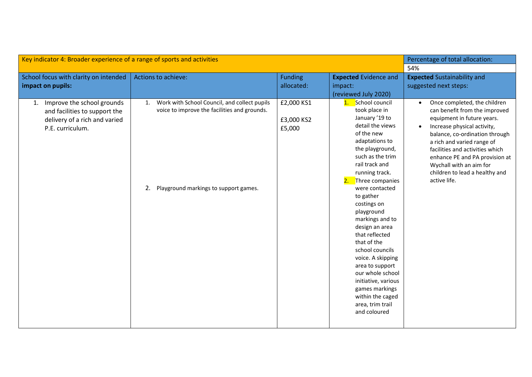| Key indicator 4: Broader experience of a range of sports and activities                                                |                                                                                                                                                   |                                    |                                                                                                                                                                                                                                                                                                                                                                                                                                                                                                                                   | Percentage of total allocation:                                                                                                                                                                                                                                                                                                                                        |
|------------------------------------------------------------------------------------------------------------------------|---------------------------------------------------------------------------------------------------------------------------------------------------|------------------------------------|-----------------------------------------------------------------------------------------------------------------------------------------------------------------------------------------------------------------------------------------------------------------------------------------------------------------------------------------------------------------------------------------------------------------------------------------------------------------------------------------------------------------------------------|------------------------------------------------------------------------------------------------------------------------------------------------------------------------------------------------------------------------------------------------------------------------------------------------------------------------------------------------------------------------|
|                                                                                                                        |                                                                                                                                                   |                                    |                                                                                                                                                                                                                                                                                                                                                                                                                                                                                                                                   | 54%                                                                                                                                                                                                                                                                                                                                                                    |
| School focus with clarity on intended<br>impact on pupils:                                                             | Actions to achieve:                                                                                                                               | <b>Funding</b><br>allocated:       | <b>Expected Evidence and</b><br>impact:<br>(reviewed July 2020)                                                                                                                                                                                                                                                                                                                                                                                                                                                                   | <b>Expected Sustainability and</b><br>suggested next steps:                                                                                                                                                                                                                                                                                                            |
| Improve the school grounds<br>1.<br>and facilities to support the<br>delivery of a rich and varied<br>P.E. curriculum. | Work with School Council, and collect pupils<br>1.<br>voice to improve the facilities and grounds.<br>Playground markings to support games.<br>2. | £2,000 KS1<br>£3,000 KS2<br>£5,000 | School council<br>1.<br>took place in<br>January '19 to<br>detail the views<br>of the new<br>adaptations to<br>the playground,<br>such as the trim<br>rail track and<br>running track.<br>Three companies<br>2.<br>were contacted<br>to gather<br>costings on<br>playground<br>markings and to<br>design an area<br>that reflected<br>that of the<br>school councils<br>voice. A skipping<br>area to support<br>our whole school<br>initiative, various<br>games markings<br>within the caged<br>area, trim trail<br>and coloured | Once completed, the children<br>$\bullet$<br>can benefit from the improved<br>equipment in future years.<br>Increase physical activity,<br>$\bullet$<br>balance, co-ordination through<br>a rich and varied range of<br>facilities and activities which<br>enhance PE and PA provision at<br>Wychall with an aim for<br>children to lead a healthy and<br>active life. |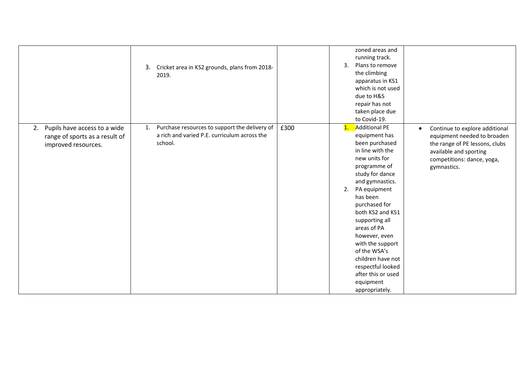|                                                                                             | Cricket area in KS2 grounds, plans from 2018-<br>3.<br>2019.                                                   |      | zoned areas and<br>running track.<br>3.<br>Plans to remove<br>the climbing<br>apparatus in KS1<br>which is not used<br>due to H&S<br>repair has not<br>taken place due<br>to Covid-19.                                                                                                                                                                                                                                           |                                                                                                                                                                                     |
|---------------------------------------------------------------------------------------------|----------------------------------------------------------------------------------------------------------------|------|----------------------------------------------------------------------------------------------------------------------------------------------------------------------------------------------------------------------------------------------------------------------------------------------------------------------------------------------------------------------------------------------------------------------------------|-------------------------------------------------------------------------------------------------------------------------------------------------------------------------------------|
| Pupils have access to a wide<br>2.<br>range of sports as a result of<br>improved resources. | Purchase resources to support the delivery of<br>1.<br>a rich and varied P.E. curriculum across the<br>school. | £300 | <b>Additional PE</b><br>$\mathbf{1}$ .<br>equipment has<br>been purchased<br>in line with the<br>new units for<br>programme of<br>study for dance<br>and gymnastics.<br>PA equipment<br>2.<br>has been<br>purchased for<br>both KS2 and KS1<br>supporting all<br>areas of PA<br>however, even<br>with the support<br>of the WSA's<br>children have not<br>respectful looked<br>after this or used<br>equipment<br>appropriately. | Continue to explore additional<br>$\bullet$<br>equipment needed to broaden<br>the range of PE lessons, clubs<br>available and sporting<br>competitions: dance, yoga,<br>gymnastics. |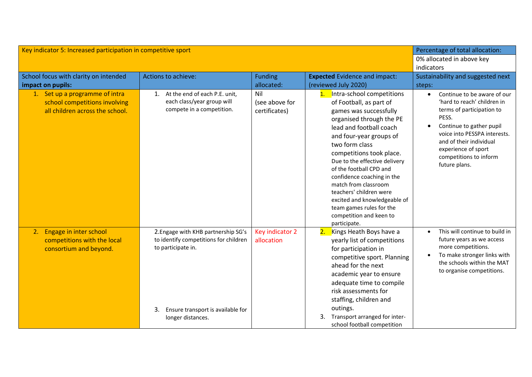| Key indicator 5: Increased participation in competitive sport                                      | Percentage of total allocation:                                                                                                                                    |                                        |                                                                                                                                                                                                                                                                                                                                                                                                                                                                       |                                                                                                                                                                                                                                                           |
|----------------------------------------------------------------------------------------------------|--------------------------------------------------------------------------------------------------------------------------------------------------------------------|----------------------------------------|-----------------------------------------------------------------------------------------------------------------------------------------------------------------------------------------------------------------------------------------------------------------------------------------------------------------------------------------------------------------------------------------------------------------------------------------------------------------------|-----------------------------------------------------------------------------------------------------------------------------------------------------------------------------------------------------------------------------------------------------------|
|                                                                                                    |                                                                                                                                                                    |                                        |                                                                                                                                                                                                                                                                                                                                                                                                                                                                       | 0% allocated in above key<br>indicators                                                                                                                                                                                                                   |
| School focus with clarity on intended                                                              | Actions to achieve:                                                                                                                                                | <b>Funding</b>                         | <b>Expected Evidence and impact:</b>                                                                                                                                                                                                                                                                                                                                                                                                                                  | Sustainability and suggested next                                                                                                                                                                                                                         |
| impact on pupils:                                                                                  |                                                                                                                                                                    | allocated:                             | (reviewed July 2020)                                                                                                                                                                                                                                                                                                                                                                                                                                                  | steps:                                                                                                                                                                                                                                                    |
| 1. Set up a programme of intra<br>school competitions involving<br>all children across the school. | 1. At the end of each P.E. unit,<br>each class/year group will<br>compete in a competition.                                                                        | Nil<br>(see above for<br>certificates) | 1. Intra-school competitions<br>of Football, as part of<br>games was successfully<br>organised through the PE<br>lead and football coach<br>and four-year groups of<br>two form class<br>competitions took place.<br>Due to the effective delivery<br>of the football CPD and<br>confidence coaching in the<br>match from classroom<br>teachers' children were<br>excited and knowledgeable of<br>team games rules for the<br>competition and keen to<br>participate. | Continue to be aware of our<br>'hard to reach' children in<br>terms of participation to<br>PESS.<br>Continue to gather pupil<br>voice into PESSPA interests.<br>and of their individual<br>experience of sport<br>competitions to inform<br>future plans. |
| 2. Engage in inter school<br>competitions with the local<br>consortium and beyond.                 | 2. Engage with KHB partnership SG's<br>to identify competitions for children<br>to participate in.<br>Ensure transport is available for<br>3.<br>longer distances. | Key indicator 2<br>allocation          | 2. Kings Heath Boys have a<br>yearly list of competitions<br>for participation in<br>competitive sport. Planning<br>ahead for the next<br>academic year to ensure<br>adequate time to compile<br>risk assessments for<br>staffing, children and<br>outings.<br>Transport arranged for inter-<br>3.<br>school football competition                                                                                                                                     | This will continue to build in<br>future years as we access<br>more competitions.<br>To make stronger links with<br>the schools within the MAT<br>to organise competitions.                                                                               |